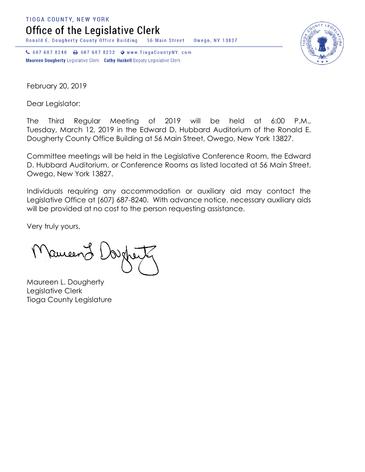**TIOGA COUNTY, NEW YORK** 

Office of the Legislative Clerk

Ronald E. Dougherty County Office Building 56 Main Street Owego, NY 13827

↓ 607 687 8240 → 607 687 8232 → www.TiogaCountyNY.com Maureen Dougherty Legislative Clerk Cathy Haskell Deputy Legislative Clerk



February 20, 2019

Dear Legislator:

The Third Regular Meeting of 2019 will be held at 6:00 P.M., Tuesday, March 12, 2019 in the Edward D. Hubbard Auditorium of the Ronald E. Dougherty County Office Building at 56 Main Street, Owego, New York 13827.

Committee meetings will be held in the Legislative Conference Room, the Edward D. Hubbard Auditorium, or Conference Rooms as listed located at 56 Main Street, Owego, New York 13827.

Individuals requiring any accommodation or auxiliary aid may contact the Legislative Office at (607) 687-8240. With advance notice, necessary auxiliary aids will be provided at no cost to the person requesting assistance.

Very truly yours,

Ruceen

Maureen L. Dougherty Legislative Clerk Tioga County Legislature